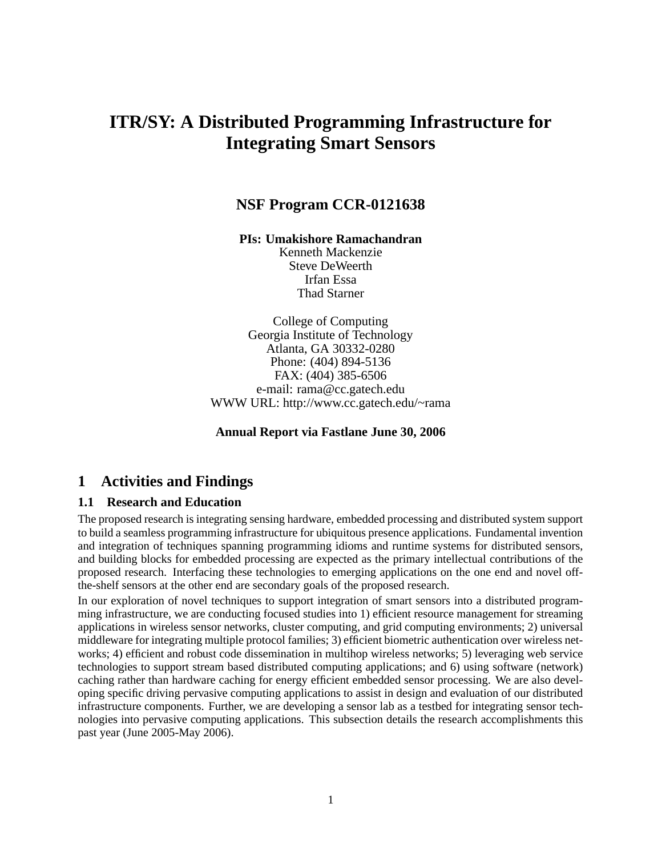# **ITR/SY: A Distributed Programming Infrastructure for Integrating Smart Sensors**

## **NSF Program CCR-0121638**

**PIs: Umakishore Ramachandran**

Kenneth Mackenzie Steve DeWeerth Irfan Essa Thad Starner

College of Computing Georgia Institute of Technology Atlanta, GA 30332-0280 Phone: (404) 894-5136 FAX: (404) 385-6506 e-mail: rama@cc.gatech.edu WWW URL: http://www.cc.gatech.edu/~rama

**Annual Report via Fastlane June 30, 2006**

## **1 Activities and Findings**

#### **1.1 Research and Education**

The proposed research is integrating sensing hardware, embedded processing and distributed system support to build a seamless programming infrastructure for ubiquitous presence applications. Fundamental invention and integration of techniques spanning programming idioms and runtime systems for distributed sensors, and building blocks for embedded processing are expected as the primary intellectual contributions of the proposed research. Interfacing these technologies to emerging applications on the one end and novel offthe-shelf sensors at the other end are secondary goals of the proposed research.

In our exploration of novel techniques to support integration of smart sensors into a distributed programming infrastructure, we are conducting focused studies into 1) efficient resource management for streaming applications in wireless sensor networks, cluster computing, and grid computing environments; 2) universal middleware for integrating multiple protocol families; 3) efficient biometric authentication over wireless networks; 4) efficient and robust code dissemination in multihop wireless networks; 5) leveraging web service technologies to support stream based distributed computing applications; and 6) using software (network) caching rather than hardware caching for energy efficient embedded sensor processing. We are also developing specific driving pervasive computing applications to assist in design and evaluation of our distributed infrastructure components. Further, we are developing a sensor lab as a testbed for integrating sensor technologies into pervasive computing applications. This subsection details the research accomplishments this past year (June 2005-May 2006).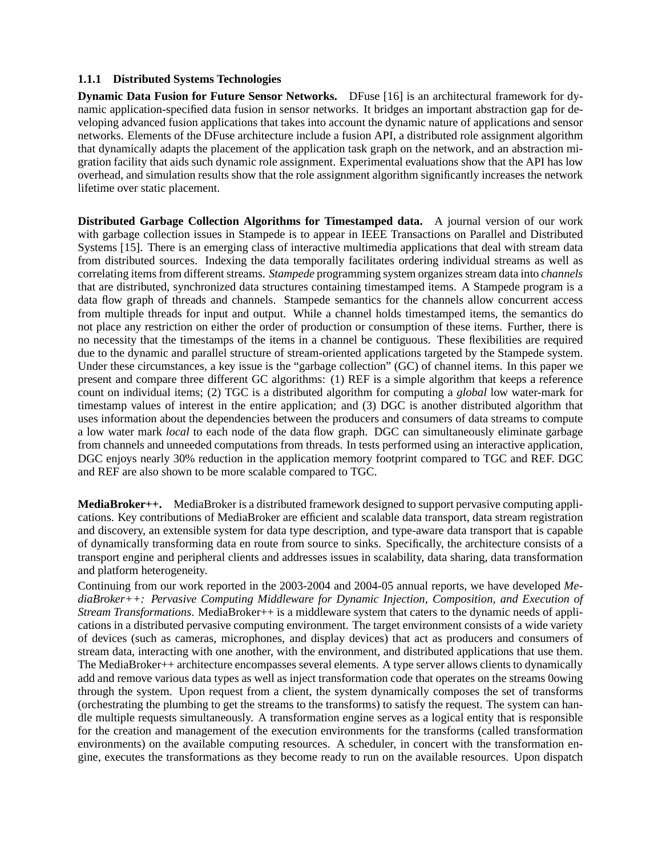#### **1.1.1 Distributed Systems Technologies**

**Dynamic Data Fusion for Future Sensor Networks.** DFuse [16] is an architectural framework for dynamic application-specified data fusion in sensor networks. It bridges an important abstraction gap for developing advanced fusion applications that takes into account the dynamic nature of applications and sensor networks. Elements of the DFuse architecture include a fusion API, a distributed role assignment algorithm that dynamically adapts the placement of the application task graph on the network, and an abstraction migration facility that aids such dynamic role assignment. Experimental evaluations show that the API has low overhead, and simulation results show that the role assignment algorithm significantly increases the network lifetime over static placement.

**Distributed Garbage Collection Algorithms for Timestamped data.** A journal version of our work with garbage collection issues in Stampede is to appear in IEEE Transactions on Parallel and Distributed Systems [15]. There is an emerging class of interactive multimedia applications that deal with stream data from distributed sources. Indexing the data temporally facilitates ordering individual streams as well as correlating items from different streams. *Stampede* programming system organizes stream data into *channels* that are distributed, synchronized data structures containing timestamped items. A Stampede program is a data flow graph of threads and channels. Stampede semantics for the channels allow concurrent access from multiple threads for input and output. While a channel holds timestamped items, the semantics do not place any restriction on either the order of production or consumption of these items. Further, there is no necessity that the timestamps of the items in a channel be contiguous. These flexibilities are required due to the dynamic and parallel structure of stream-oriented applications targeted by the Stampede system. Under these circumstances, a key issue is the "garbage collection" (GC) of channel items. In this paper we present and compare three different GC algorithms: (1) REF is a simple algorithm that keeps a reference count on individual items; (2) TGC is a distributed algorithm for computing a *global* low water-mark for timestamp values of interest in the entire application; and (3) DGC is another distributed algorithm that uses information about the dependencies between the producers and consumers of data streams to compute a low water mark *local* to each node of the data flow graph. DGC can simultaneously eliminate garbage from channels and unneeded computations from threads. In tests performed using an interactive application, DGC enjoys nearly 30% reduction in the application memory footprint compared to TGC and REF. DGC and REF are also shown to be more scalable compared to TGC.

**MediaBroker++.** MediaBroker is a distributed framework designed to support pervasive computing applications. Key contributions of MediaBroker are efficient and scalable data transport, data stream registration and discovery, an extensible system for data type description, and type-aware data transport that is capable of dynamically transforming data en route from source to sinks. Specifically, the architecture consists of a transport engine and peripheral clients and addresses issues in scalability, data sharing, data transformation and platform heterogeneity.

Continuing from our work reported in the 2003-2004 and 2004-05 annual reports, we have developed *MediaBroker++: Pervasive Computing Middleware for Dynamic Injection, Composition, and Execution of Stream Transformations*. MediaBroker++ is a middleware system that caters to the dynamic needs of applications in a distributed pervasive computing environment. The target environment consists of a wide variety of devices (such as cameras, microphones, and display devices) that act as producers and consumers of stream data, interacting with one another, with the environment, and distributed applications that use them. The MediaBroker++ architecture encompasses several elements. A type server allows clients to dynamically add and remove various data types as well as inject transformation code that operates on the streams 0owing through the system. Upon request from a client, the system dynamically composes the set of transforms (orchestrating the plumbing to get the streams to the transforms) to satisfy the request. The system can handle multiple requests simultaneously. A transformation engine serves as a logical entity that is responsible for the creation and management of the execution environments for the transforms (called transformation environments) on the available computing resources. A scheduler, in concert with the transformation engine, executes the transformations as they become ready to run on the available resources. Upon dispatch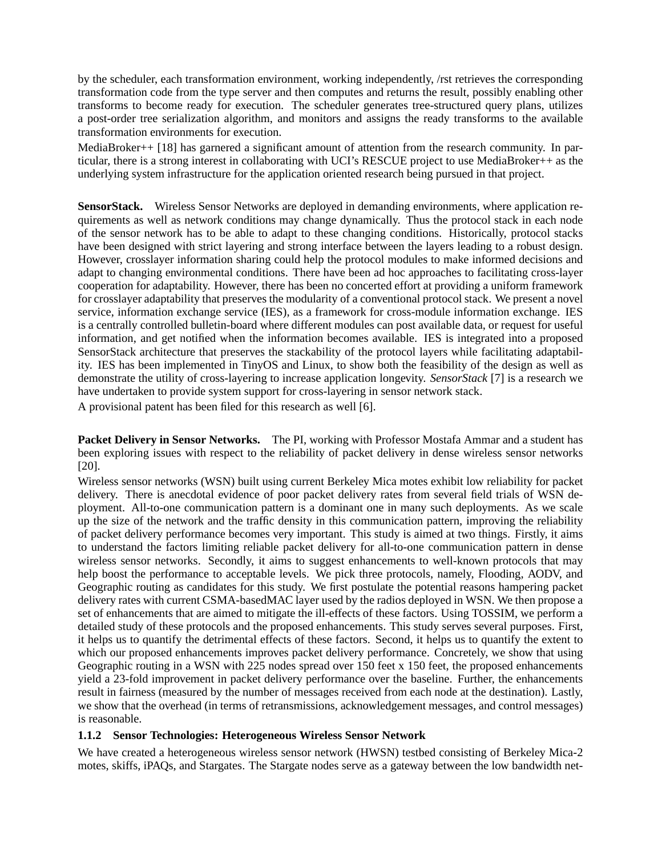by the scheduler, each transformation environment, working independently, /rst retrieves the corresponding transformation code from the type server and then computes and returns the result, possibly enabling other transforms to become ready for execution. The scheduler generates tree-structured query plans, utilizes a post-order tree serialization algorithm, and monitors and assigns the ready transforms to the available transformation environments for execution.

MediaBroker++ [18] has garnered a significant amount of attention from the research community. In particular, there is a strong interest in collaborating with UCI's RESCUE project to use MediaBroker++ as the underlying system infrastructure for the application oriented research being pursued in that project.

**SensorStack.** Wireless Sensor Networks are deployed in demanding environments, where application requirements as well as network conditions may change dynamically. Thus the protocol stack in each node of the sensor network has to be able to adapt to these changing conditions. Historically, protocol stacks have been designed with strict layering and strong interface between the layers leading to a robust design. However, crosslayer information sharing could help the protocol modules to make informed decisions and adapt to changing environmental conditions. There have been ad hoc approaches to facilitating cross-layer cooperation for adaptability. However, there has been no concerted effort at providing a uniform framework for crosslayer adaptability that preserves the modularity of a conventional protocol stack. We present a novel service, information exchange service (IES), as a framework for cross-module information exchange. IES is a centrally controlled bulletin-board where different modules can post available data, or request for useful information, and get notified when the information becomes available. IES is integrated into a proposed SensorStack architecture that preserves the stackability of the protocol layers while facilitating adaptability. IES has been implemented in TinyOS and Linux, to show both the feasibility of the design as well as demonstrate the utility of cross-layering to increase application longevity. *SensorStack* [7] is a research we have undertaken to provide system support for cross-layering in sensor network stack.

A provisional patent has been filed for this research as well [6].

**Packet Delivery in Sensor Networks.** The PI, working with Professor Mostafa Ammar and a student has been exploring issues with respect to the reliability of packet delivery in dense wireless sensor networks [20].

Wireless sensor networks (WSN) built using current Berkeley Mica motes exhibit low reliability for packet delivery. There is anecdotal evidence of poor packet delivery rates from several field trials of WSN deployment. All-to-one communication pattern is a dominant one in many such deployments. As we scale up the size of the network and the traffic density in this communication pattern, improving the reliability of packet delivery performance becomes very important. This study is aimed at two things. Firstly, it aims to understand the factors limiting reliable packet delivery for all-to-one communication pattern in dense wireless sensor networks. Secondly, it aims to suggest enhancements to well-known protocols that may help boost the performance to acceptable levels. We pick three protocols, namely, Flooding, AODV, and Geographic routing as candidates for this study. We first postulate the potential reasons hampering packet delivery rates with current CSMA-basedMAC layer used by the radios deployed in WSN. We then propose a set of enhancements that are aimed to mitigate the ill-effects of these factors. Using TOSSIM, we perform a detailed study of these protocols and the proposed enhancements. This study serves several purposes. First, it helps us to quantify the detrimental effects of these factors. Second, it helps us to quantify the extent to which our proposed enhancements improves packet delivery performance. Concretely, we show that using Geographic routing in a WSN with 225 nodes spread over 150 feet x 150 feet, the proposed enhancements yield a 23-fold improvement in packet delivery performance over the baseline. Further, the enhancements result in fairness (measured by the number of messages received from each node at the destination). Lastly, we show that the overhead (in terms of retransmissions, acknowledgement messages, and control messages) is reasonable.

#### **1.1.2 Sensor Technologies: Heterogeneous Wireless Sensor Network**

We have created a heterogeneous wireless sensor network (HWSN) testbed consisting of Berkeley Mica-2 motes, skiffs, iPAQs, and Stargates. The Stargate nodes serve as a gateway between the low bandwidth net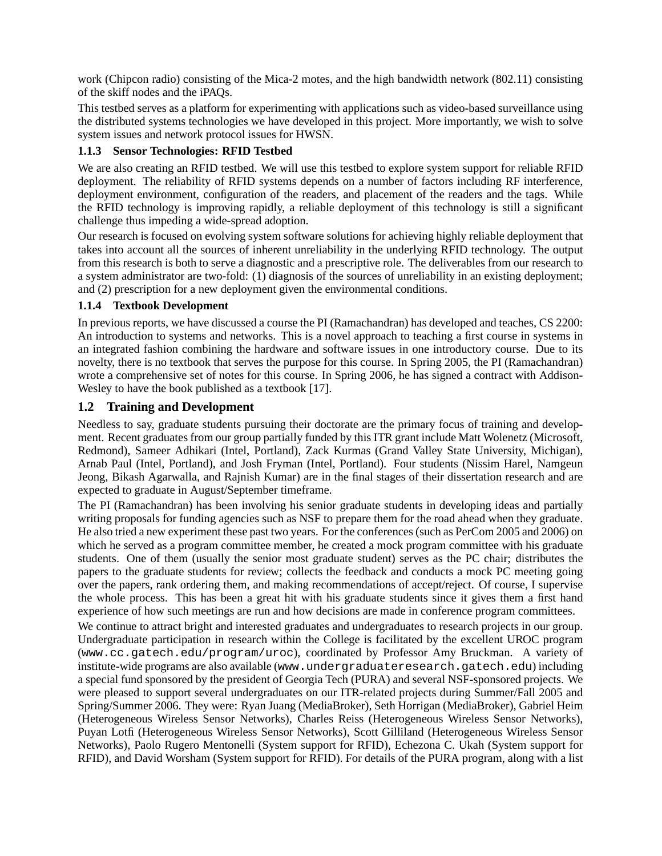work (Chipcon radio) consisting of the Mica-2 motes, and the high bandwidth network (802.11) consisting of the skiff nodes and the iPAQs.

This testbed serves as a platform for experimenting with applications such as video-based surveillance using the distributed systems technologies we have developed in this project. More importantly, we wish to solve system issues and network protocol issues for HWSN.

#### **1.1.3 Sensor Technologies: RFID Testbed**

We are also creating an RFID testbed. We will use this testbed to explore system support for reliable RFID deployment. The reliability of RFID systems depends on a number of factors including RF interference, deployment environment, configuration of the readers, and placement of the readers and the tags. While the RFID technology is improving rapidly, a reliable deployment of this technology is still a significant challenge thus impeding a wide-spread adoption.

Our research is focused on evolving system software solutions for achieving highly reliable deployment that takes into account all the sources of inherent unreliability in the underlying RFID technology. The output from this research is both to serve a diagnostic and a prescriptive role. The deliverables from our research to a system administrator are two-fold: (1) diagnosis of the sources of unreliability in an existing deployment; and (2) prescription for a new deployment given the environmental conditions.

#### **1.1.4 Textbook Development**

In previous reports, we have discussed a course the PI (Ramachandran) has developed and teaches, CS 2200: An introduction to systems and networks. This is a novel approach to teaching a first course in systems in an integrated fashion combining the hardware and software issues in one introductory course. Due to its novelty, there is no textbook that serves the purpose for this course. In Spring 2005, the PI (Ramachandran) wrote a comprehensive set of notes for this course. In Spring 2006, he has signed a contract with Addison-Wesley to have the book published as a textbook [17].

#### **1.2 Training and Development**

Needless to say, graduate students pursuing their doctorate are the primary focus of training and development. Recent graduates from our group partially funded by this ITR grant include Matt Wolenetz (Microsoft, Redmond), Sameer Adhikari (Intel, Portland), Zack Kurmas (Grand Valley State University, Michigan), Arnab Paul (Intel, Portland), and Josh Fryman (Intel, Portland). Four students (Nissim Harel, Namgeun Jeong, Bikash Agarwalla, and Rajnish Kumar) are in the final stages of their dissertation research and are expected to graduate in August/September timeframe.

The PI (Ramachandran) has been involving his senior graduate students in developing ideas and partially writing proposals for funding agencies such as NSF to prepare them for the road ahead when they graduate. He also tried a new experiment these past two years. For the conferences(such as PerCom 2005 and 2006) on which he served as a program committee member, he created a mock program committee with his graduate students. One of them (usually the senior most graduate student) serves as the PC chair; distributes the papers to the graduate students for review; collects the feedback and conducts a mock PC meeting going over the papers, rank ordering them, and making recommendations of accept/reject. Of course, I supervise the whole process. This has been a great hit with his graduate students since it gives them a first hand experience of how such meetings are run and how decisions are made in conference program committees.

We continue to attract bright and interested graduates and undergraduates to research projects in our group. Undergraduate participation in research within the College is facilitated by the excellent UROC program (www.cc.gatech.edu/program/uroc), coordinated by Professor Amy Bruckman. A variety of institute-wide programs are also available (www.undergraduateresearch.gatech.edu) including a special fund sponsored by the president of Georgia Tech (PURA) and several NSF-sponsored projects. We were pleased to support several undergraduates on our ITR-related projects during Summer/Fall 2005 and Spring/Summer 2006. They were: Ryan Juang (MediaBroker), Seth Horrigan (MediaBroker), Gabriel Heim (Heterogeneous Wireless Sensor Networks), Charles Reiss (Heterogeneous Wireless Sensor Networks), Puyan Lotfi (Heterogeneous Wireless Sensor Networks), Scott Gilliland (Heterogeneous Wireless Sensor Networks), Paolo Rugero Mentonelli (System support for RFID), Echezona C. Ukah (System support for RFID), and David Worsham (System support for RFID). For details of the PURA program, along with a list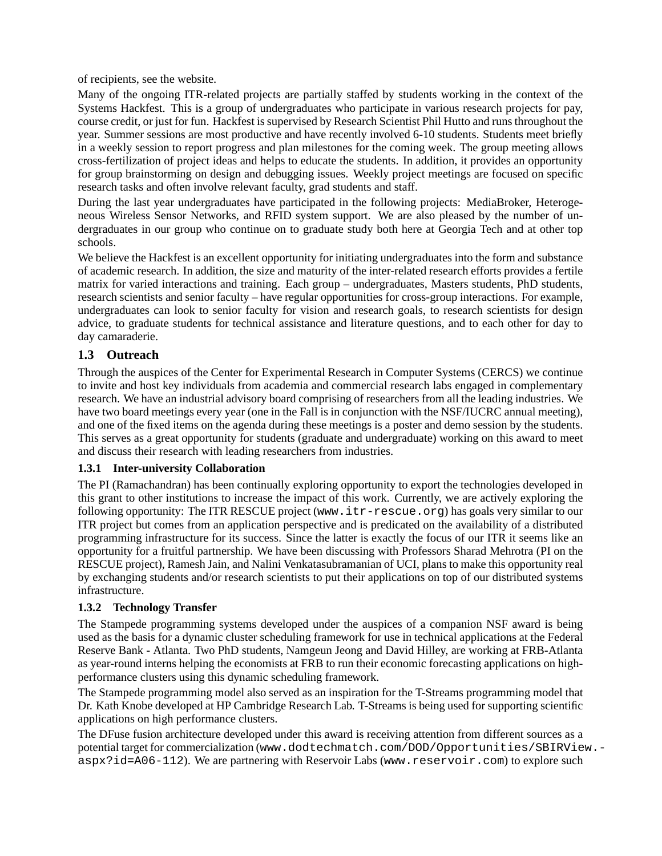of recipients, see the website.

Many of the ongoing ITR-related projects are partially staffed by students working in the context of the Systems Hackfest. This is a group of undergraduates who participate in various research projects for pay, course credit, or just for fun. Hackfest is supervised by Research Scientist Phil Hutto and runs throughout the year. Summer sessions are most productive and have recently involved 6-10 students. Students meet briefly in a weekly session to report progress and plan milestones for the coming week. The group meeting allows cross-fertilization of project ideas and helps to educate the students. In addition, it provides an opportunity for group brainstorming on design and debugging issues. Weekly project meetings are focused on specific research tasks and often involve relevant faculty, grad students and staff.

During the last year undergraduates have participated in the following projects: MediaBroker, Heterogeneous Wireless Sensor Networks, and RFID system support. We are also pleased by the number of undergraduates in our group who continue on to graduate study both here at Georgia Tech and at other top schools.

We believe the Hackfest is an excellent opportunity for initiating undergraduates into the form and substance of academic research. In addition, the size and maturity of the inter-related research efforts provides a fertile matrix for varied interactions and training. Each group – undergraduates, Masters students, PhD students, research scientists and senior faculty – have regular opportunities for cross-group interactions. For example, undergraduates can look to senior faculty for vision and research goals, to research scientists for design advice, to graduate students for technical assistance and literature questions, and to each other for day to day camaraderie.

### **1.3 Outreach**

Through the auspices of the Center for Experimental Research in Computer Systems (CERCS) we continue to invite and host key individuals from academia and commercial research labs engaged in complementary research. We have an industrial advisory board comprising of researchers from all the leading industries. We have two board meetings every year (one in the Fall is in conjunction with the NSF/IUCRC annual meeting), and one of the fixed items on the agenda during these meetings is a poster and demo session by the students. This serves as a great opportunity for students (graduate and undergraduate) working on this award to meet and discuss their research with leading researchers from industries.

#### **1.3.1 Inter-university Collaboration**

The PI (Ramachandran) has been continually exploring opportunity to export the technologies developed in this grant to other institutions to increase the impact of this work. Currently, we are actively exploring the following opportunity: The ITR RESCUE project (www.itr-rescue.org) has goals very similar to our ITR project but comes from an application perspective and is predicated on the availability of a distributed programming infrastructure for its success. Since the latter is exactly the focus of our ITR it seems like an opportunity for a fruitful partnership. We have been discussing with Professors Sharad Mehrotra (PI on the RESCUE project), Ramesh Jain, and Nalini Venkatasubramanian of UCI, plans to make this opportunity real by exchanging students and/or research scientists to put their applications on top of our distributed systems infrastructure.

#### **1.3.2 Technology Transfer**

The Stampede programming systems developed under the auspices of a companion NSF award is being used as the basis for a dynamic cluster scheduling framework for use in technical applications at the Federal Reserve Bank - Atlanta. Two PhD students, Namgeun Jeong and David Hilley, are working at FRB-Atlanta as year-round interns helping the economists at FRB to run their economic forecasting applications on highperformance clusters using this dynamic scheduling framework.

The Stampede programming model also served as an inspiration for the T-Streams programming model that Dr. Kath Knobe developed at HP Cambridge Research Lab. T-Streams is being used for supporting scientific applications on high performance clusters.

The DFuse fusion architecture developed under this award is receiving attention from different sources as a potential target for commercialization (www.dodtechmatch.com/DOD/Opportunities/SBIRView. aspx?id=A06-112). We are partnering with Reservoir Labs (www.reservoir.com) to explore such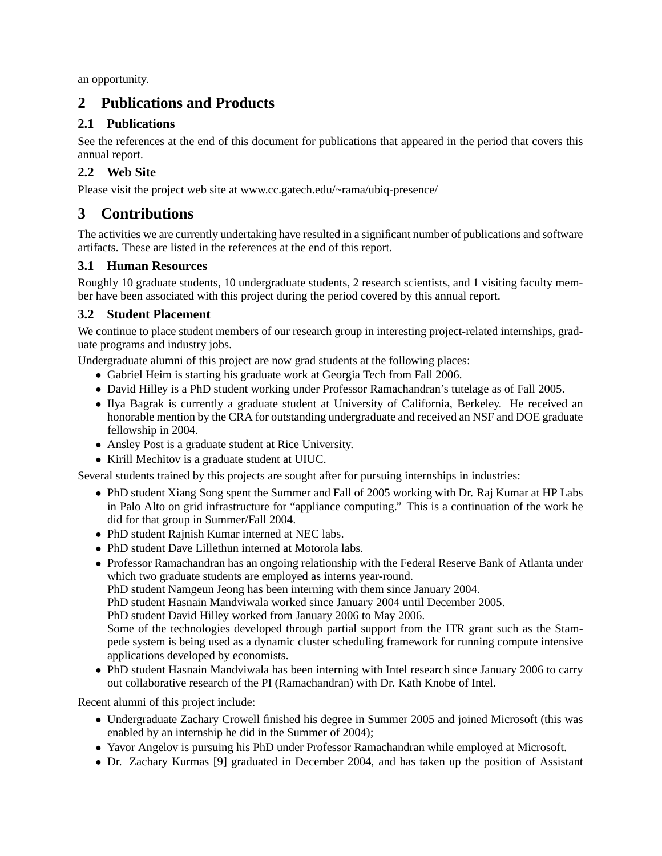an opportunity.

## **2 Publications and Products**

## **2.1 Publications**

See the references at the end of this document for publications that appeared in the period that covers this annual report.

## **2.2 Web Site**

Please visit the project web site at www.cc.gatech.edu/~rama/ubiq-presence/

## **3 Contributions**

The activities we are currently undertaking have resulted in a significant number of publications and software artifacts. These are listed in the references at the end of this report.

### **3.1 Human Resources**

Roughly 10 graduate students, 10 undergraduate students, 2 research scientists, and 1 visiting faculty member have been associated with this project during the period covered by this annual report.

## **3.2 Student Placement**

We continue to place student members of our research group in interesting project-related internships, graduate programs and industry jobs.

Undergraduate alumni of this project are now grad students at the following places:

- Gabriel Heim is starting his graduate work at Georgia Tech from Fall 2006.
- David Hilley is a PhD student working under Professor Ramachandran's tutelage as of Fall 2005.
- Ilya Bagrak is currently a graduate student at University of California, Berkeley. He received an honorable mention by the CRA for outstanding undergraduate and received an NSF and DOE graduate fellowship in 2004.
- Ansley Post is a graduate student at Rice University.
- Kirill Mechitov is a graduate student at UIUC.

Several students trained by this projects are sought after for pursuing internships in industries:

- PhD student Xiang Song spent the Summer and Fall of 2005 working with Dr. Raj Kumar at HP Labs in Palo Alto on grid infrastructure for "appliance computing." This is a continuation of the work he did for that group in Summer/Fall 2004.
- PhD student Rajnish Kumar interned at NEC labs.
- PhD student Dave Lillethun interned at Motorola labs.
- Professor Ramachandran has an ongoing relationship with the Federal Reserve Bank of Atlanta under which two graduate students are employed as interns year-round.
	- PhD student Namgeun Jeong has been interning with them since January 2004.
	- PhD student Hasnain Mandviwala worked since January 2004 until December 2005.

PhD student David Hilley worked from January 2006 to May 2006.

Some of the technologies developed through partial support from the ITR grant such as the Stampede system is being used as a dynamic cluster scheduling framework for running compute intensive applications developed by economists.

• PhD student Hasnain Mandviwala has been interning with Intel research since January 2006 to carry out collaborative research of the PI (Ramachandran) with Dr. Kath Knobe of Intel.

Recent alumni of this project include:

- Undergraduate Zachary Crowell finished his degree in Summer 2005 and joined Microsoft (this was enabled by an internship he did in the Summer of 2004);
- Yavor Angelov is pursuing his PhD under Professor Ramachandran while employed at Microsoft.
- Dr. Zachary Kurmas [9] graduated in December 2004, and has taken up the position of Assistant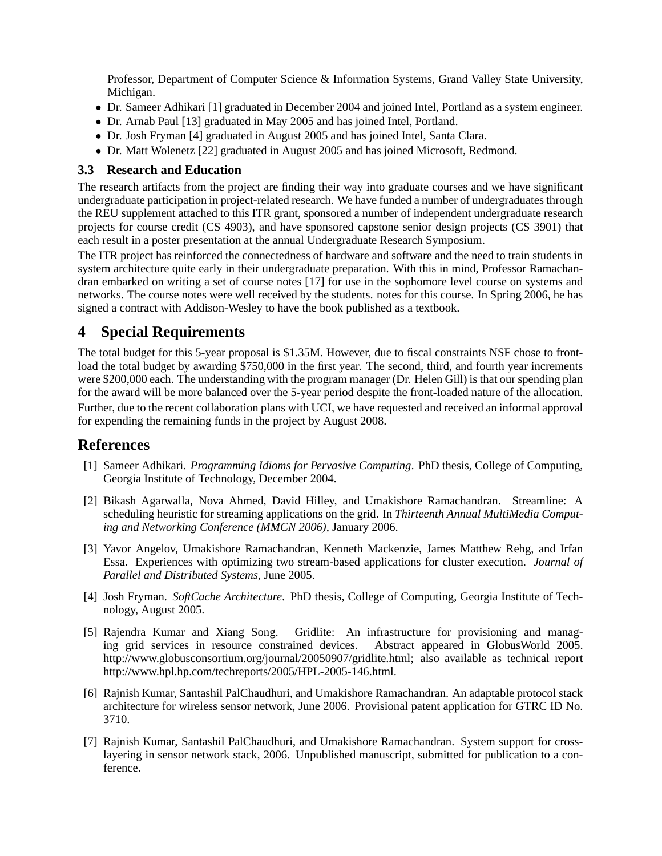Professor, Department of Computer Science & Information Systems, Grand Valley State University, Michigan.

- Dr. Sameer Adhikari [1] graduated in December 2004 and joined Intel, Portland as a system engineer.
- Dr. Arnab Paul [13] graduated in May 2005 and has joined Intel, Portland.
- Dr. Josh Fryman [4] graduated in August 2005 and has joined Intel, Santa Clara.
- Dr. Matt Wolenetz [22] graduated in August 2005 and has joined Microsoft, Redmond.

#### **3.3 Research and Education**

The research artifacts from the project are finding their way into graduate courses and we have significant undergraduate participation in project-related research. We have funded a number of undergraduates through the REU supplement attached to this ITR grant, sponsored a number of independent undergraduate research projects for course credit (CS 4903), and have sponsored capstone senior design projects (CS 3901) that each result in a poster presentation at the annual Undergraduate Research Symposium.

The ITR project has reinforced the connectedness of hardware and software and the need to train students in system architecture quite early in their undergraduate preparation. With this in mind, Professor Ramachandran embarked on writing a set of course notes [17] for use in the sophomore level course on systems and networks. The course notes were well received by the students. notes for this course. In Spring 2006, he has signed a contract with Addison-Wesley to have the book published as a textbook.

## **4 Special Requirements**

The total budget for this 5-year proposal is \$1.35M. However, due to fiscal constraints NSF chose to frontload the total budget by awarding \$750,000 in the first year. The second, third, and fourth year increments were \$200,000 each. The understanding with the program manager (Dr. Helen Gill) is that our spending plan for the award will be more balanced over the 5-year period despite the front-loaded nature of the allocation. Further, due to the recent collaboration plans with UCI, we have requested and received an informal approval for expending the remaining funds in the project by August 2008.

## **References**

- [1] Sameer Adhikari. *Programming Idioms for Pervasive Computing*. PhD thesis, College of Computing, Georgia Institute of Technology, December 2004.
- [2] Bikash Agarwalla, Nova Ahmed, David Hilley, and Umakishore Ramachandran. Streamline: A scheduling heuristic for streaming applications on the grid. In *Thirteenth Annual MultiMedia Computing and Networking Conference (MMCN 2006)*, January 2006.
- [3] Yavor Angelov, Umakishore Ramachandran, Kenneth Mackenzie, James Matthew Rehg, and Irfan Essa. Experiences with optimizing two stream-based applications for cluster execution. *Journal of Parallel and Distributed Systems*, June 2005.
- [4] Josh Fryman. *SoftCache Architecture*. PhD thesis, College of Computing, Georgia Institute of Technology, August 2005.
- [5] Rajendra Kumar and Xiang Song. Gridlite: An infrastructure for provisioning and managing grid services in resource constrained devices. Abstract appeared in GlobusWorld 2005. http://www.globusconsortium.org/journal/20050907/gridlite.html; also available as technical report http://www.hpl.hp.com/techreports/2005/HPL-2005-146.html.
- [6] Rajnish Kumar, Santashil PalChaudhuri, and Umakishore Ramachandran. An adaptable protocol stack architecture for wireless sensor network, June 2006. Provisional patent application for GTRC ID No. 3710.
- [7] Rajnish Kumar, Santashil PalChaudhuri, and Umakishore Ramachandran. System support for crosslayering in sensor network stack, 2006. Unpublished manuscript, submitted for publication to a conference.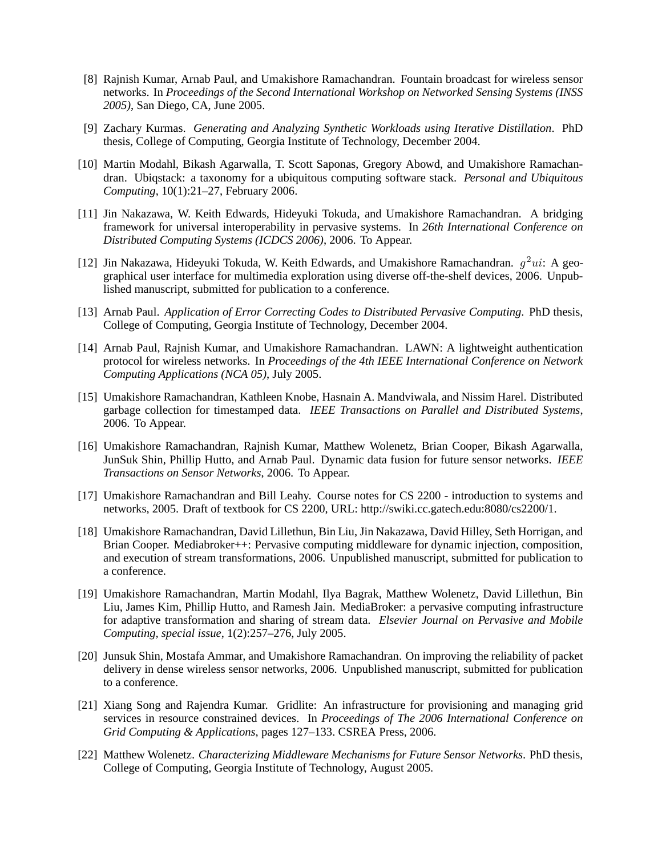- [8] Rajnish Kumar, Arnab Paul, and Umakishore Ramachandran. Fountain broadcast for wireless sensor networks. In *Proceedings of the Second International Workshop on Networked Sensing Systems (INSS 2005)*, San Diego, CA, June 2005.
- [9] Zachary Kurmas. *Generating and Analyzing Synthetic Workloads using Iterative Distillation*. PhD thesis, College of Computing, Georgia Institute of Technology, December 2004.
- [10] Martin Modahl, Bikash Agarwalla, T. Scott Saponas, Gregory Abowd, and Umakishore Ramachandran. Ubiqstack: a taxonomy for a ubiquitous computing software stack. *Personal and Ubiquitous Computing*, 10(1):21–27, February 2006.
- [11] Jin Nakazawa, W. Keith Edwards, Hideyuki Tokuda, and Umakishore Ramachandran. A bridging framework for universal interoperability in pervasive systems. In *26th International Conference on Distributed Computing Systems (ICDCS 2006)*, 2006. To Appear.
- [12] Jin Nakazawa, Hideyuki Tokuda, W. Keith Edwards, and Umakishore Ramachandran.  $g^2ui$ : A geographical user interface for multimedia exploration using diverse off-the-shelf devices, 2006. Unpublished manuscript, submitted for publication to a conference.
- [13] Arnab Paul. *Application of Error Correcting Codes to Distributed Pervasive Computing*. PhD thesis, College of Computing, Georgia Institute of Technology, December 2004.
- [14] Arnab Paul, Rajnish Kumar, and Umakishore Ramachandran. LAWN: A lightweight authentication protocol for wireless networks. In *Proceedings of the 4th IEEE International Conference on Network Computing Applications (NCA 05)*, July 2005.
- [15] Umakishore Ramachandran, Kathleen Knobe, Hasnain A. Mandviwala, and Nissim Harel. Distributed garbage collection for timestamped data. *IEEE Transactions on Parallel and Distributed Systems*, 2006. To Appear.
- [16] Umakishore Ramachandran, Rajnish Kumar, Matthew Wolenetz, Brian Cooper, Bikash Agarwalla, JunSuk Shin, Phillip Hutto, and Arnab Paul. Dynamic data fusion for future sensor networks. *IEEE Transactions on Sensor Networks*, 2006. To Appear.
- [17] Umakishore Ramachandran and Bill Leahy. Course notes for CS 2200 introduction to systems and networks, 2005. Draft of textbook for CS 2200, URL: http://swiki.cc.gatech.edu:8080/cs2200/1.
- [18] Umakishore Ramachandran, David Lillethun, Bin Liu, Jin Nakazawa, David Hilley, Seth Horrigan, and Brian Cooper. Mediabroker++: Pervasive computing middleware for dynamic injection, composition, and execution of stream transformations, 2006. Unpublished manuscript, submitted for publication to a conference.
- [19] Umakishore Ramachandran, Martin Modahl, Ilya Bagrak, Matthew Wolenetz, David Lillethun, Bin Liu, James Kim, Phillip Hutto, and Ramesh Jain. MediaBroker: a pervasive computing infrastructure for adaptive transformation and sharing of stream data. *Elsevier Journal on Pervasive and Mobile Computing, special issue*, 1(2):257–276, July 2005.
- [20] Junsuk Shin, Mostafa Ammar, and Umakishore Ramachandran. On improving the reliability of packet delivery in dense wireless sensor networks, 2006. Unpublished manuscript, submitted for publication to a conference.
- [21] Xiang Song and Rajendra Kumar. Gridlite: An infrastructure for provisioning and managing grid services in resource constrained devices. In *Proceedings of The 2006 International Conference on Grid Computing & Applications*, pages 127–133. CSREA Press, 2006.
- [22] Matthew Wolenetz. *Characterizing Middleware Mechanisms for Future Sensor Networks*. PhD thesis, College of Computing, Georgia Institute of Technology, August 2005.